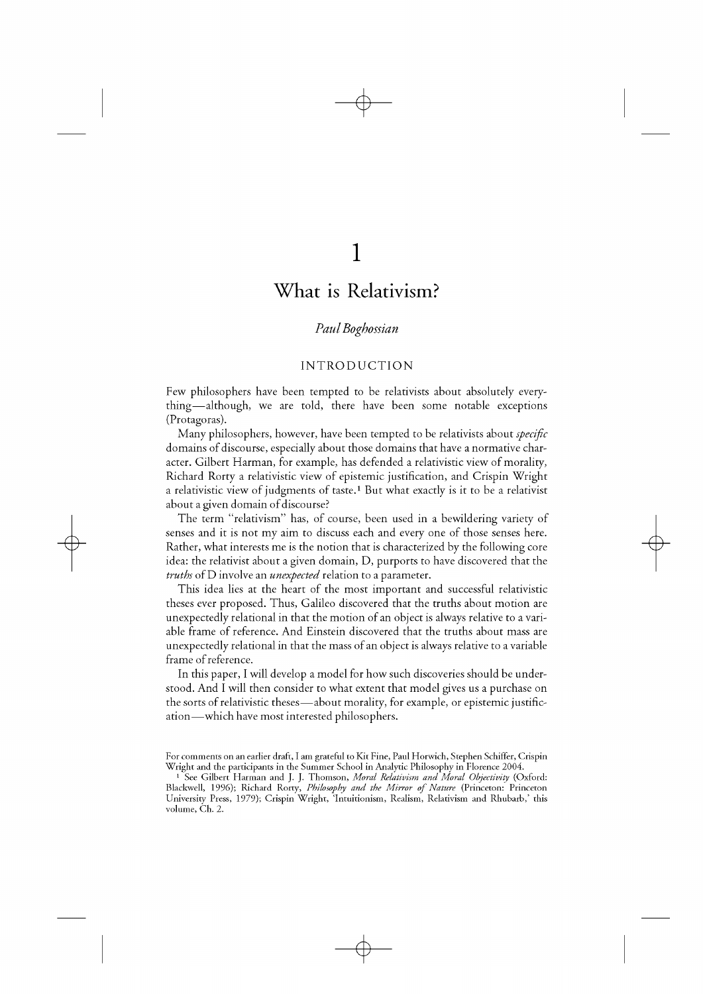# 1

# What is Relativism?

# *Paul Boghossian*

#### INTRODUCTION

Few philosophers have been tempted to be relativists about absolutely everything—although, we are told, there have been some notable exceptions (Protagoras).

Many philosophers, however, have been tempted to be relativists about *specific* domains of discourse, especially about those domainsthat have a normative character. Gilbert Harman, for example, has defended a relativistic view of morality, Richard Rorty a relativistic view of epistemic justification, and Crispin Wright a relativistic view of judgments of taste.<sup>1</sup> But what exactly is it to be a relativist about a given domain of discourse?

The term ''relativism'' has, of course, been used in a bewildering variety of senses and it is not my aim to discuss each and every one of those senses here. Rather, what interests me is the notion that is characterized by the following core idea: the relativist about a given domain, D, purports to have discovered that the *truths* ofD involve an *unexpected* relation to a parameter.

This idea lies at the heart of the most important and successful relativistic theses ever proposed. Thus, Galileo discovered that the truths about motion are unexpectedly relational in that the motion of an object is always relative to a variable frame of reference. And Einstein discovered that the truths about mass are unexpectedly relational in that the mass ofan object is always relative to a variable frame of reference.

In this paper, I will develop a model for how such discoveries should be understood. And I will then consider to what extent that model gives us a purchase on the sorts of relativistic theses—about morality, for example, or epistemic justification—which have most interested philosophers.

For comments on an earlier draft, I am grateful to Kit Fine, Paul Horwich, Stephen Schiffer, Crispin Wright and the participants in the Summer School in Analytic Philosophy in Florence 2004.

<sup>1</sup> See Gilbert Harman and J. J. Thomson, *Moral Relativism and Moral Objectivity* (Oxford: Blackwell, 1996); Richard Rorty, *Philosophy and the Mirror of Nature* (Princeton: Princeton University Press, 1979); Crispin Wright, 'Intuitionism, Realism, Relativism and Rhubarb,' this volume, Ch. 2.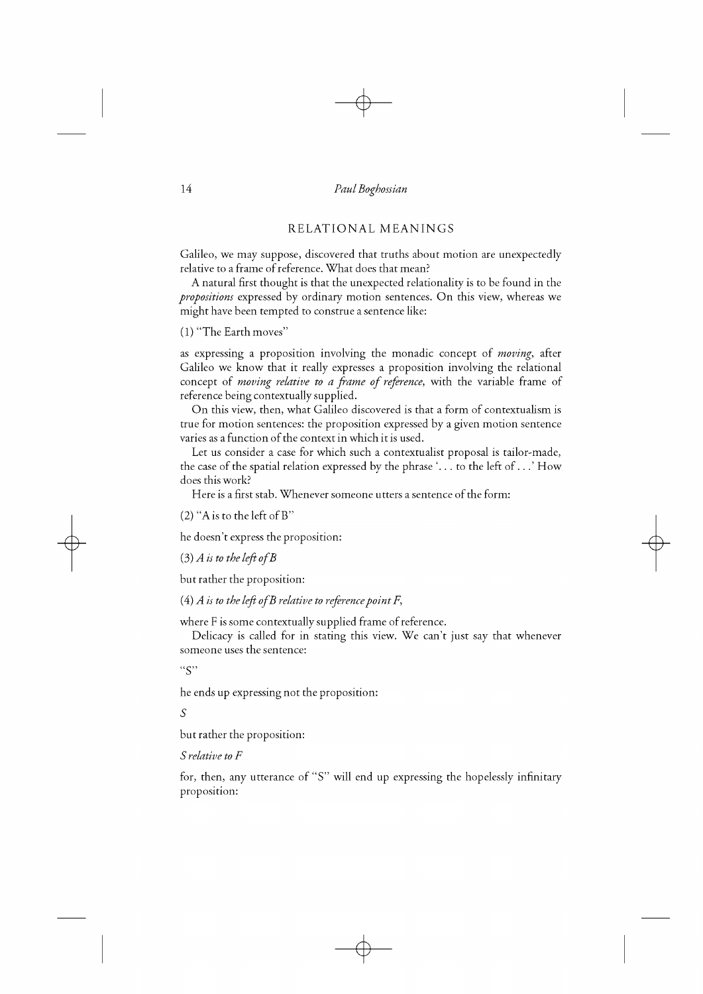#### RELATIONAL MEANINGS

Galileo, we may suppose, discovered that truths about motion are unexpectedly relative to a frame of reference. What does that mean?

A natural first thought is that the unexpected relationality is to be found in the *propositions* expressed by ordinary motion sentences. On this view, whereas we might have been tempted to construe a sentence like:

(1) "The Earth moves"

as expressing a proposition involving the monadic concept of *moving*, after Galileo we know that it really expresses a proposition involving the relational concept of *moving relative to a frame of reference*, with the variable frame of reference being contextually supplied.

On this view, then, what Galileo discovered is that a form of contextualism is true for motion sentences: the proposition expressed by a given motion sentence varies as a function of the context in which it is used.

Let us consider a case for which such a contextualist proposal is tailor-made, the case of the spatial relation expressed by the phrase  $\ldots$  to the left of  $\ldots$  How does this work?

Here is a first stab. Whenever someone utters a sentence of the form:

(2) ''A isto the left of B''

he doesn't express the proposition:

(3) *AistotheleftofB*

but rather the proposition:

# (4) *A is to the left of B relative to reference point F*,

where F is some contextually supplied frame of reference.

Delicacy is called for in stating this view. We can't just say that whenever someone uses the sentence:

 $``S$ 

he ends up expressing not the proposition:

*S*

but rather the proposition:

#### *SrelativetoF*

for, then, any utterance of ''S'' will end up expressing the hopelessly infinitary proposition: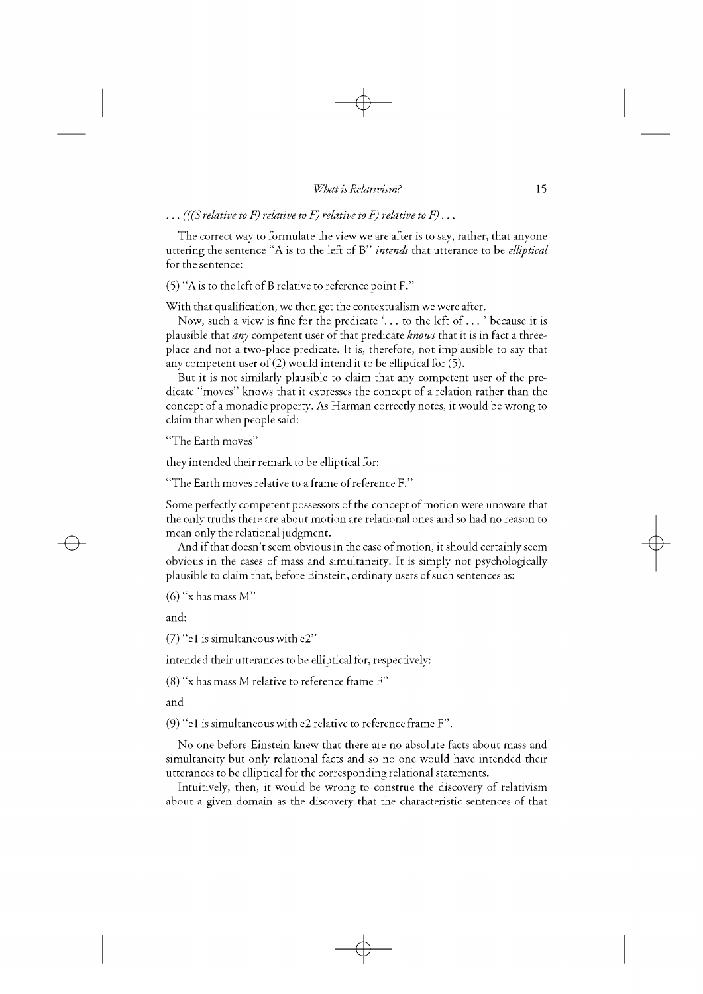# . . . *(((S relative to F)relative to F)relative to F)relative to F)*. . .

The correct way to formulate the view we are after is to say, rather, that anyone uttering the sentence ''A is to the left of B'' *intends* that utterance to be *elliptical* for the sentence:

(5) ''A isto the left of B relative to reference point F.''

With that qualification, we then get the contextualism we were after.

Now, such <sup>a</sup> view is fine for the predicate '... to the left of ... ' because it is plausible that *any* competent user of that predicate *knows* that it isin fact a threeplace and not a two-place predicate. It is, therefore, not implausible to say that any competent user of  $(2)$  would intend it to be elliptical for  $(5)$ .

But it is not similarly plausible to claim that any competent user of the predicate ''moves'' knows that it expresses the concept of a relation rather than the concept of a monadic property. As Harman correctly notes, it would be wrong to claim that when people said:

"The Earth moves"

they intended their remark to be elliptical for:

"The Earth moves relative to a frame of reference F."

Some perfectly competent possessors of the concept of motion were unaware that the only truths there are about motion are relational ones and so had no reason to mean only the relational judgment.

And if that doesn't seem obvious in the case of motion, it should certainly seem obvious in the cases of mass and simultaneity. It is simply not psychologically plausible to claim that, before Einstein, ordinary users of such sentences as:

(6) "x has mass  $M$ "

and:

(7) ''e1 issimultaneouswith e2''

intended their utterances to be elliptical for, respectively:

(8) ''x has mass Mrelative to reference frame F''

and

(9) ''e1 is simultaneouswith e2 relative to reference frame F''.

No one before Einstein knew that there are no absolute facts about mass and simultaneity but only relational facts and so no one would have intended their utterances to be elliptical for the corresponding relational statements.

Intuitively, then, it would be wrong to construe the discovery of relativism about a given domain as the discovery that the characteristic sentences of that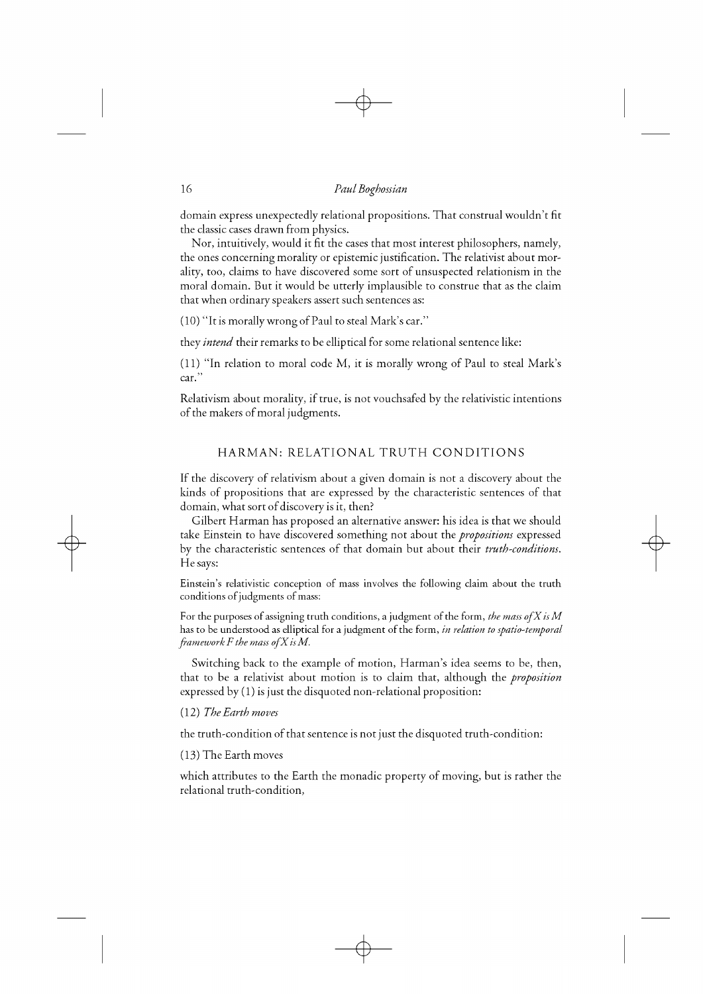domain express unexpectedly relational propositions. That construal wouldn't fit the classic cases drawn fromphysics.

Nor, intuitively, would it fit the cases that most interest philosophers, namely, the ones concerningmorality or epistemic justification.The relativist about morality, too, claims to have discovered some sort of unsuspected relationism in the moral domain. But it would be utterly implausible to construe that as the claim that when ordinary speakers assert such sentences as:

(10) "It is morally wrong of Paul to steal Mark's car."

they *intend* their remarks to be elliptical for some relational sentence like:

(11) ''In relation to moral code M, it is morally wrong of Paul to steal Mark's car.''

Relativism about morality, if true, is not vouchsafed by the relativistic intentions of the makers of moral judgments.

# HARMAN: RELATIONAL TRUTH CONDITIONS

If the discovery of relativism about a given domain is not a discovery about the kinds of propositions that are expressed by the characteristic sentences of that domain, what sort of discovery is it, then?

Gilbert Harman has proposed an alternative answer: his idea is that we should take Einstein to have discovered something not about the *propositions* expressed by the characteristic sentences of that domain but about their *truth-conditions*. He says:

Einstein's relativistic conception of mass involves the following claim about the truth conditions of judgments of mass:

For the purposes of assigning truth conditions, a judgment of the form, *the mass of X is M* hasto be understood as elliptical for a judgment of the form, *in relation to spatio-temporal framework F the mass of X is M*.

Switching back to the example of motion, Harman's idea seems to be, then, that to be a relativist about motion is to claim that, although the *proposition* expressed by  $(1)$  is just the disquoted non-relational proposition:

(12) *The Earth moves*

the truth-condition of that sentence is not just the disquoted truth-condition:

(13) The Earth moves

which attributes to the Earth the monadic property of moving, but is rather the relational truth-condition,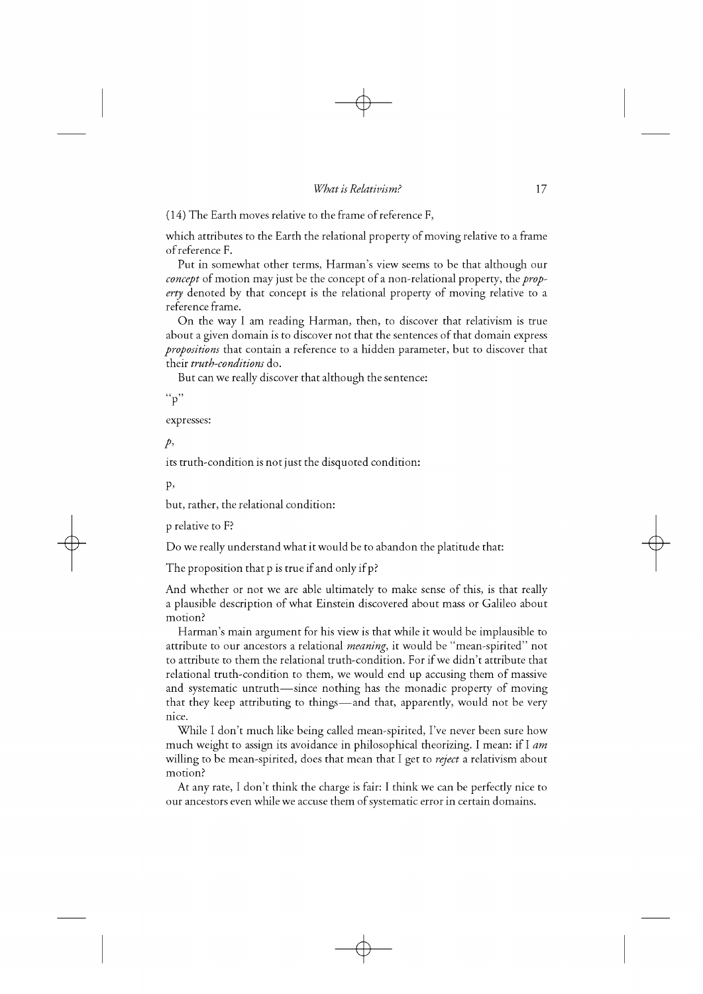(14) The Earth moves relative to the frame of reference  $F$ ,

which attributes to the Earth the relational property of moving relative to a frame ofreferenceF.

Put in somewhat other terms, Harman's view seems to be that although our *concept* of motion may just be the concept of a non-relational property, the *property* denoted by that concept is the relational property of moving relative to a reference frame.

On the way I am reading Harman, then, to discover that relativism is true about a given domain isto discover not that the sentences of that domain express *propositions* that contain a reference to a hidden parameter, but to discover that their*truth-conditions* do.

But can we really discover that although the sentence:

 $\alpha_{\mathbf{p}}$ "

expresses:

*p*,

its truth-condition is not just the disquoted condition:

p,

but, rather, the relational condition:

p relative to F?

Do we really understandwhat itwould be to abandon the platitude that:

The proposition that p is true if and only if p?

And whether or not we are able ultimately to make sense of this, is that really a plausible description of what Einstein discovered about mass or Galileo about motion?

Harman's main argument for his view is that while it would be implausible to attribute to our ancestors a relational *meaning*, it would be ''mean-spirited'' not to attribute to them the relational truth-condition. For if we didn't attribute that relational truth-condition to them, we would end up accusing them of massive and systematic untruth—since nothing has the monadic property of moving that they keep attributing to things—and that, apparently, would not be very nice.

While I don't much like being called mean-spirited, I've never been sure how much weight to assign its avoidance in philosophical theorizing. I mean: if I *am* willing to be mean-spirited, does that mean that I get to *reject* a relativism about motion?

At any rate, I don't think the charge is fair: I think we can be perfectly nice to our ancestors even while we accuse them of systematic error in certain domains.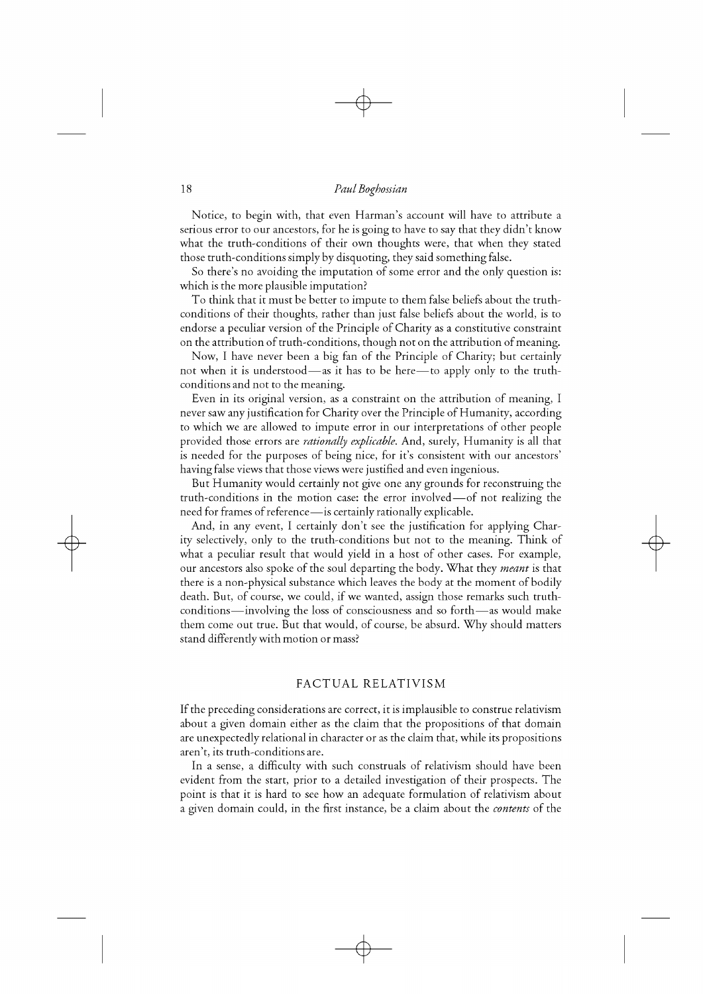Notice, to begin with, that even Harman's account will have to attribute a serious error to our ancestors, for he is going to have to saythat they didn't know what the truth-conditions of their own thoughts were, that when they stated those truth-conditionssimply by disquoting, they said something false.

So there's no avoiding the imputation of some error and the only question is: which is the more plausible imputation?

To think that it must be better to impute to them false beliefs about the truthconditions of their thoughts, rather than just false beliefs about the world, is to endorse a peculiar version of the Principle of Charity as a constitutive constraint on the attribution of truth-conditions, though not on the attribution of meaning.

Now, I have never been a big fan of the Principle of Charity; but certainly not when it is understood—as it has to be here—to apply only to the truthconditions and not to the meaning.

Even in its original version, as a constraint on the attribution of meaning, I never saw any justification for Charity over the Principle of Humanity, according to which we are allowed to impute error in our interpretations of other people provided those errors are *rationally explicable*. And, surely, Humanity is all that is needed for the purposes of being nice, for it's consistent with our ancestors' having false views that those views were justified and even ingenious.

But Humanity would certainly not give one any grounds for reconstruing the truth-conditions in the motion case: the error involved—of not realizing the need for frames of reference—is certainly rationally explicable.

And, in any event, I certainly don't see the justification for applying Charity selectively, only to the truth-conditions but not to the meaning. Think of what a peculiar result that would yield in a host of other cases. For example, our ancestors also spoke ofthe soul departing the body. What they *meant* is that there is a non-physical substance which leaves the body at the moment of bodily death. But, of course, we could, if we wanted, assign those remarks such truthconditions—involving the loss of consciousness and so forth—as would make them come out true. But that would, of course, be absurd. Why should matters stand differentlywith motion or mass?

### FACTUAL RELATIVISM

Ifthe preceding considerations are correct, it is implausible to construe relativism about a given domain either as the claim that the propositions of that domain are unexpectedly relational in character or as the claim that, while its propositions aren't, its truth-conditions are.

In a sense, a difficulty with such construals of relativism should have been evident from the start, prior to a detailed investigation of their prospects. The point is that it is hard to see how an adequate formulation of relativism about a given domain could, in the first instance, be a claim about the *contents* of the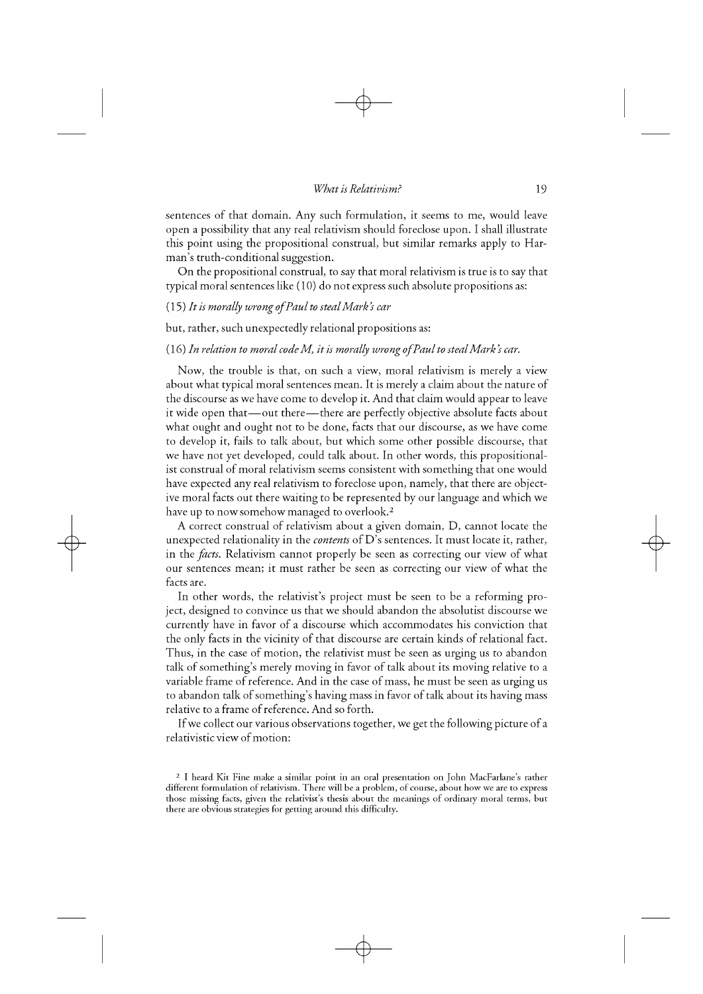sentences of that domain. Any such formulation, it seems to me, would leave open a possibility that any real relativism should foreclose upon. I shall illustrate this point using the propositional construal, but similar remarks apply to Harman's truth-conditional suggestion.

On the propositional construal, to say that moral relativism is true is to say that typical moral sentences like (10) do not express such absolute propositions as:

#### (15) *It is morally wrong of Paul to steal Mark's car*

but, rather, such unexpectedly relational propositions as:

# (16) *In relation to moral code M, it is morally wrong of Paul to steal Mark's car.*

Now, the trouble is that, on such a view, moral relativism is merely a view about what typical moral sentences mean. It is merely a claim about the nature of the discourse as we have come to develop it. And that claim would appear to leave it wide open that—out there—there are perfectly objective absolute facts about what ought and ought not to be done, facts that our discourse, as we have come to develop it, fails to talk about, but which some other possible discourse, that we have not yet developed, could talk about. In other words, this propositionalist construal of moral relativism seems consistent with something that one would have expected any real relativism to foreclose upon, namely, that there are objective moral facts out there waiting to be represented by our language and which we have up to now somehow managed to overlook.<sup>2</sup>

A correct construal of relativism about a given domain, D, cannot locate the unexpected relationality in the *contents* of D's sentences. It must locate it, rather, in the *facts*. Relativism cannot properly be seen as correcting our view of what our sentences mean; it must rather be seen as correcting our view of what the facts are.

In other words, the relativist's project must be seen to be a reforming project, designed to convince us that we should abandon the absolutist discourse we currently have in favor of a discourse which accommodates his conviction that the only facts in the vicinity of that discourse are certain kinds of relational fact. Thus, in the case of motion, the relativist must be seen as urging us to abandon talk of something's merely moving in favor of talk about its moving relative to a variable frame of reference. And in the case of mass, he must be seen as urging us to abandon talk of something's having mass in favor of talk about its having mass relative to a frame of reference. And so forth.

If we collect our various observations together, we get the following picture of a relativisticview of motion:

<sup>2</sup> I heard Kit Fine make a similar point in an oral presentation on John MacFarlane's rather different formulation of relativism. There will be a problem, of course, about how we are to express those missing facts, given the relativist's thesis about the meanings of ordinary moral terms, but there are obvious strategies for getting around this difficulty.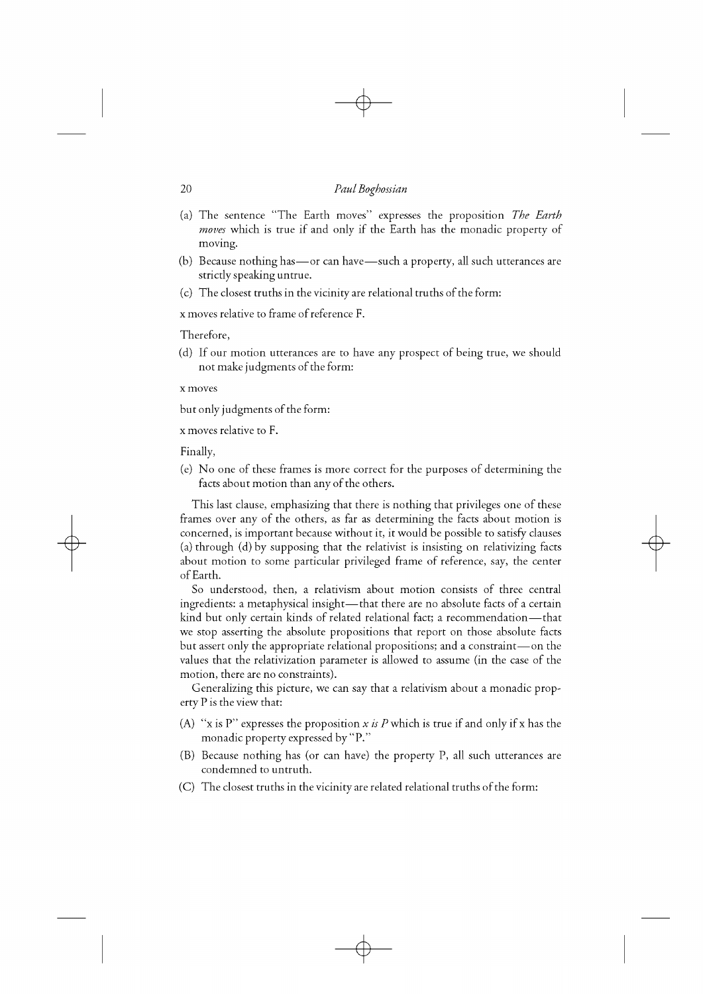- (a) The sentence ''The Earth moves'' expresses the proposition *The Earth moves* which is true if and only if the Earth has the monadic property of moving.
- (b) Because nothing has—or can have—such a property, all such utterances are strictly speaking untrue.
- (c) The closest truths in the vicinity are relational truths of the form:

x moves relative to frame of reference F.

#### Therefore,

(d) If our motion utterances are to have any prospect of being true, we should not make judgments of the form:

#### xmoves

but only judgments of the form:

x moves relative to F.

Finally,

(e) No one of these frames is more correct for the purposes of determining the facts about motion than any of the others.

This last clause, emphasizing that there is nothing that privileges one of these frames over any of the others, as far as determining the facts about motion is concerned, is important because without it, it would be possible to satisfy clauses (a) through (d) by supposing that the relativist is insisting on relativizing facts about motion to some particular privileged frame of reference, say, the center of Earth.

So understood, then, a relativism about motion consists of three central ingredients: a metaphysical insight—that there are no absolute facts of a certain kind but only certain kinds of related relational fact; a recommendation—that we stop asserting the absolute propositions that report on those absolute facts but assert only the appropriate relational propositions; and a constraint—on the values that the relativization parameter is allowed to assume (in the case of the motion, there are no constraints).

Generalizing this picture, we can say that a relativism about a monadic property  $P$  is the view that:

- (A) "x is P" expresses the proposition  $x$  *is*  $P$  which is true if and only if x has the monadic property expressed by ''P.''
- (B) Because nothing has (or can have) the property P, all such utterances are condemned to untruth.
- (C) The closest truths in the vicinity are related relational truths of the form: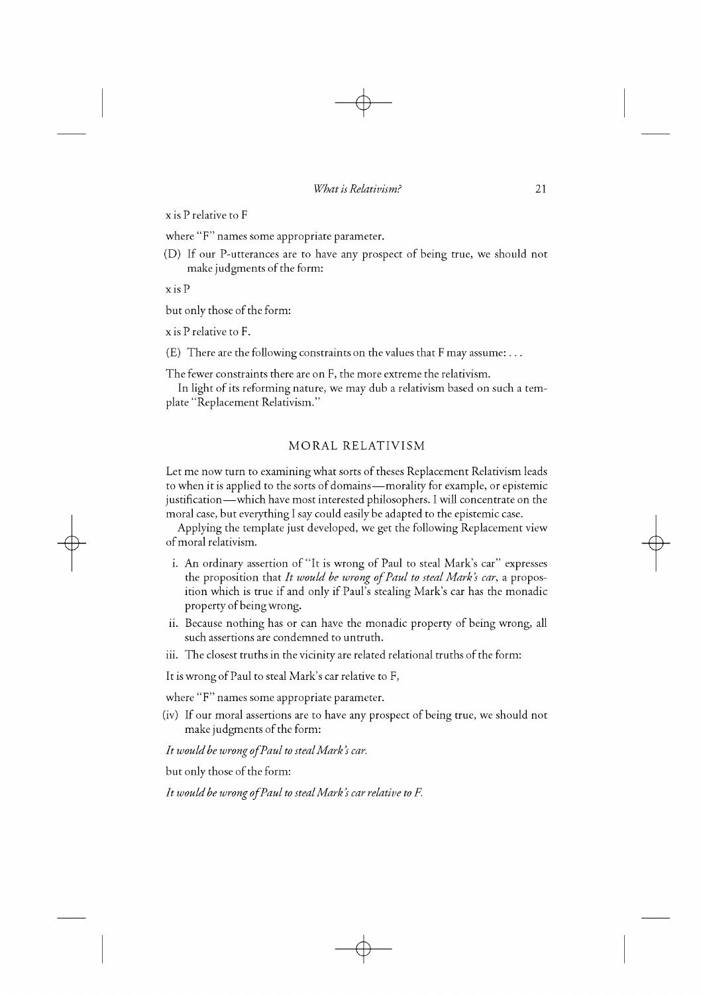# x is P relative to F

where "F" names some appropriate parameter.

(D) If our P-utterances are to have any prospect of being true, we should not make judgments of the form:

xisP

but only those of the form:

x is P relative to F.

(E) There are the following constraints on the values that F may assume: . . .

The fewer constraints there are on F, the more extreme the relativism.

In light of its reforming nature, we may dub a relativism based on such a template "Replacement Relativism."

# MORAL RELATIVISM

Let me now turn to examining what sorts of theses Replacement Relativism leads to when it is applied to the sorts of domains—morality for example, or epistemic justification—which have most interested philosophers. I will concentrate on the moral case, but everything I say could easily be adapted to the epistemic case.

Applying the template just developed, we get the following Replacement view ofmoral relativism.

- i. An ordinary assertion of "It is wrong of Paul to steal Mark's car" expresses the proposition that *It would be wrong of Paul to steal Mark's car*, a proposition which is true if and only if Paul's stealing Mark's car has the monadic property of being wrong.
- ii. Because nothing has or can have the monadic property of being wrong, all such assertions are condemned to untruth.
- iii. The closest truths in the vicinity are related relational truths of the form:

It is wrong of Paul to steal Mark's car relative to F,

where "F" names some appropriate parameter.

(iv) If our moral assertions are to have any prospect of being true, we should not make judgments of the form:

*Itwould be wrong of Paul to steal Mark's car.*

but only those of the form:

*Itwould be wrong of Paul to steal Mark's carrelative to F.*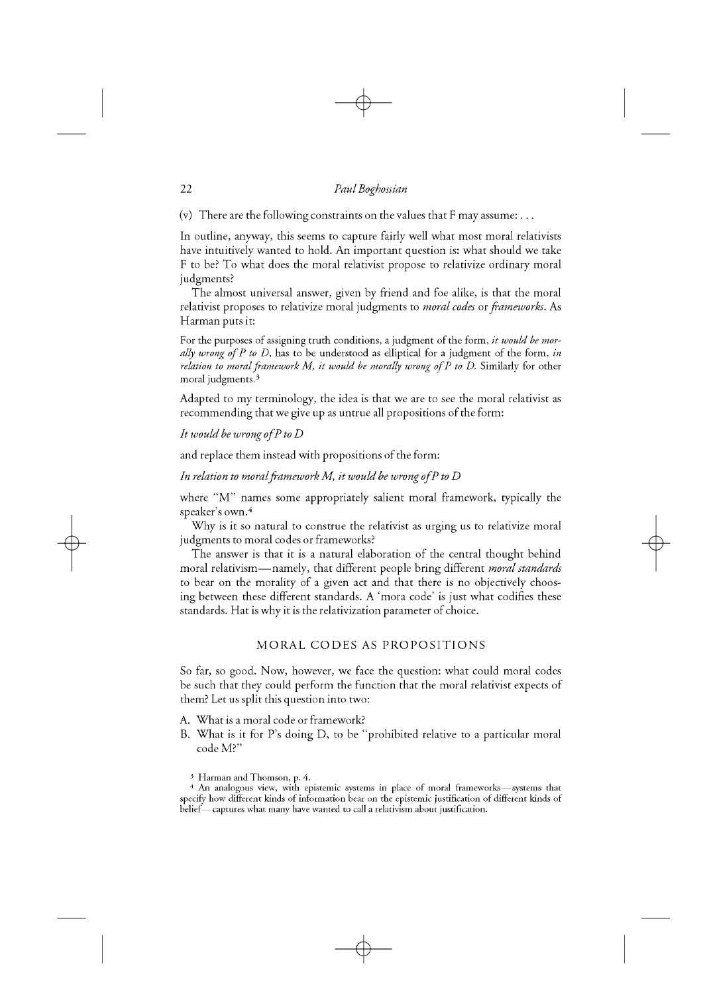(v) There are the following constraints on the values that  $F$  may assume: ...

In outline, anyway, this seems to capture fairly well what most moral relativists have intuitively wanted to hold. An important question is: what should we take F to be? To what does the moral relativist propose to relativize ordinary moral judgments?

The almost universal answer, given by friend and foe alike, is that the moral relativist proposes to relativize moral judgments to *moral codes* or *frameworks*. As Harman puts it:

For the purposes of assigning truth conditions, a judgment of the form, *it would be morally wrong of P to D*, has to be understood as elliptical for a judgment of the form, *in relation to moral framework M, it would be morally wrong of P to D.* Similarly for other moral judgments.<sup>3</sup>

Adapted to my terminology, the idea is that we are to see the moral relativist as recommending that we give up as untrue all propositions of the form:

*Itwould be wrong of P to D*

and replace them instead with propositions of the form:

*In relation to moral frameworkM, it would be wrong of P to D*

where "M" names some appropriately salient moral framework, typically the speaker's own.<sup>4</sup>

Why is it so natural to construe the relativist as urging us to relativize moral judgments to moral codes or frameworks?

The answer is that it is a natural elaboration of the central thought behind moral relativism—namely, that different people bring different *moral standards* to bear on the morality of a given act and that there is no objectively choosing between these different standards. A 'mora code' is just what codifies these standards. Hat is why it is the relativization parameter of choice.

#### MORAL CODES AS PROPOSITIONS

So far, so good. Now, however, we face the question: what could moral codes be such that they could perform the function that the moral relativist expects of them?Let us split this question into two:

- A. What is a moral code or framework?
- B. What is it for P's doing D, to be ''prohibited relative to a particular moral code M?''

<sup>3</sup> Harman and Thomson, p. 4.

<sup>4</sup> An analogous view, with epistemic systems in place of moral frameworks—systems that specify how different kinds of information bear on the epistemic justification of different kinds of belief—captures what many have wanted to call a relativism about justification.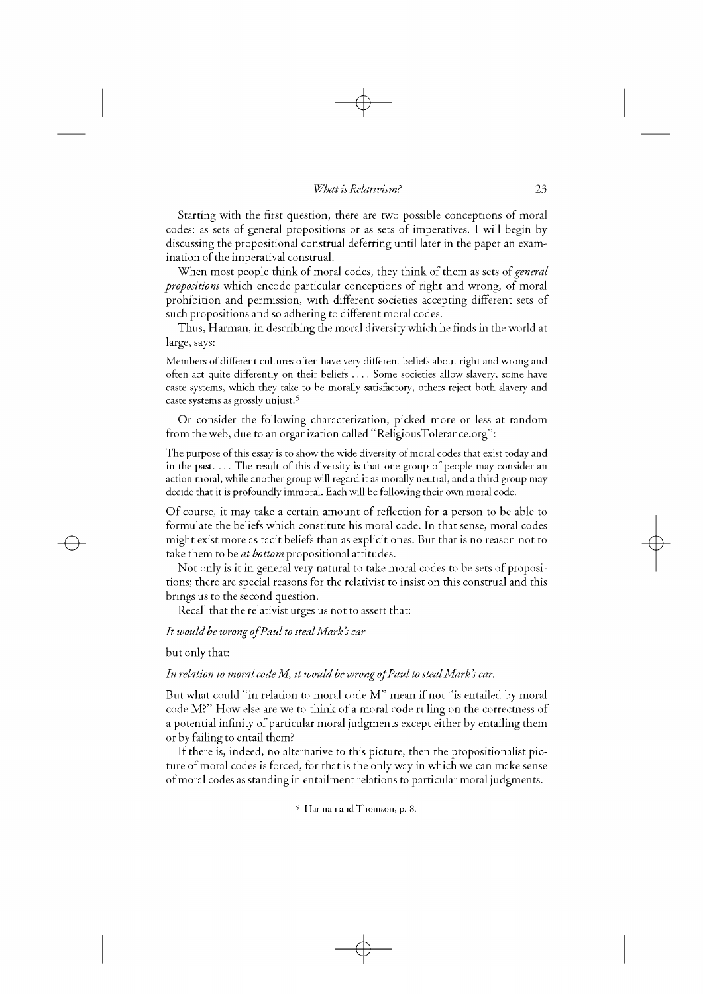Starting with the first question, there are two possible conceptions of moral codes: as sets of general propositions or as sets of imperatives. I will begin by discussing the propositional construal deferring until later in the paper an examination of the imperatival construal.

When most people think of moral codes, they think of them as sets of *general propositions* which encode particular conceptions of right and wrong, of moral prohibition and permission, with different societies accepting different sets of such propositions and so adhering to different moral codes.

Thus, Harman, in describing the moral diversity which he finds in the world at large, says:

Members of different cultures often have very different beliefs about right and wrong and often act quite differently on their beliefs .... Some societies allow slavery, some have caste systems, which they take to be morally satisfactory, others reject both slavery and caste systems as grossly unjust.<sup>5</sup>

Or consider the following characterization, picked more or less at random from the web, due to an organization called "ReligiousTolerance.org":

The purpose of this essay is to show the wide diversity of moral codes that exist today and in the past. ...The result of this diversity is that one group of people may consider an action moral, while another group will regard it as morally neutral, and a third group may decide that it is profoundly immoral. Each will be following their own moral code.

Of course, it may take a certain amount of reflection for a person to be able to formulate the beliefs which constitute his moral code. In that sense, moral codes might exist more as tacit beliefs than as explicit ones. But that is no reason not to take them to be *at bottom* propositional attitudes.

Not only is it in general very natural to take moral codes to be sets of propositions; there are special reasons for the relativist to insist on this construal and this brings us to the second question.

Recall that the relativist urges us not to assert that:

#### *Itwould be wrong of Paul to steal Mark's car*

but only that:

#### *In relation to moral code M, it would be wrong of Paul to steal Mark's car.*

But what could ''in relation to moral code M'' mean if not ''is entailed by moral code M?'' How else are we to think of a moral code ruling on the correctness of a potential infinity of particular moral judgments except either by entailing them or by failing to entail them?

If there is, indeed, no alternative to this picture, then the propositionalist picture of moral codes is forced, for that is the only way in which we can make sense of moral codes as standing in entailment relations to particular moral judgments.

5 Harman and Thomson, p. 8.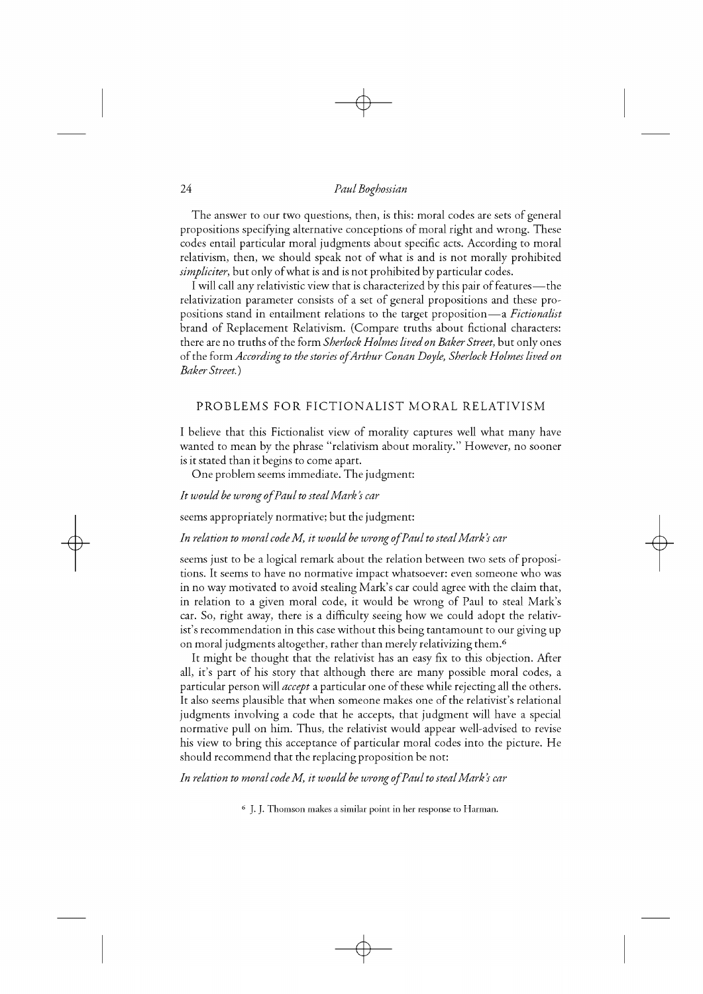The answer to our two questions, then, is this: moral codes are sets of general propositions specifying alternative conceptions of moral right and wrong. These codes entail particular moral judgments about specific acts. According to moral relativism, then, we should speak not of what is and is not morally prohibited *simpliciter*, but only of what is and is not prohibited by particular codes.

I will call any relativistic view that is characterized by this pair of features—the relativization parameter consists of a set of general propositions and these propositions stand in entailment relations to the target proposition—a *Fictionalist* brand of Replacement Relativism. (Compare truths about fictional characters: there are no truths ofthe form*Sherlock Holmeslived on Baker Street*, but only ones ofthe form*According to the stories of Arthur Conan Doyle, Sherlock Holmeslived on Baker Street.*)

#### PROBLEMS FOR FICTIONALIST MORAL RELATIVISM

I believe that this Fictionalist view of morality captures well what many have wanted to mean by the phrase ''relativism about morality.'' However, no sooner is it stated than it begins to come apart.

One problem seems immediate. The judgment:

*Itwould be wrong of Paul to steal Mark's car*

seems appropriately normative; but the judgment:

*In relation to moral code M, itwould be wrong of Paul to steal Mark's car*

seems just to be a logical remark about the relation between two sets of propositions. It seems to have no normative impact whatsoever: even someone who was in no way motivated to avoid stealing Mark's car could agree with the claim that, in relation to a given moral code, it would be wrong of Paul to steal Mark's car. So, right away, there is a difficulty seeing how we could adopt the relativist's recommendation in this case without this being tantamount to our giving up on moral judgments altogether, rather than merely relativizing them.<sup>6</sup>

It might be thought that the relativist has an easy fix to this objection. After all, it's part of his story that although there are many possible moral codes, a particular person will *accept* a particular one of these while rejecting all the others. It also seems plausible that when someone makes one of the relativist's relational judgments involving a code that he accepts, that judgment will have a special normative pull on him. Thus, the relativist would appear well-advised to revise his view to bring this acceptance of particular moral codes into the picture. He should recommend that the replacing proposition be not:

*In relation to moral code M, itwould be wrong of Paul to steal Mark's car*

<sup>6</sup> J. J. Thomson makes a similar point in her response to Harman.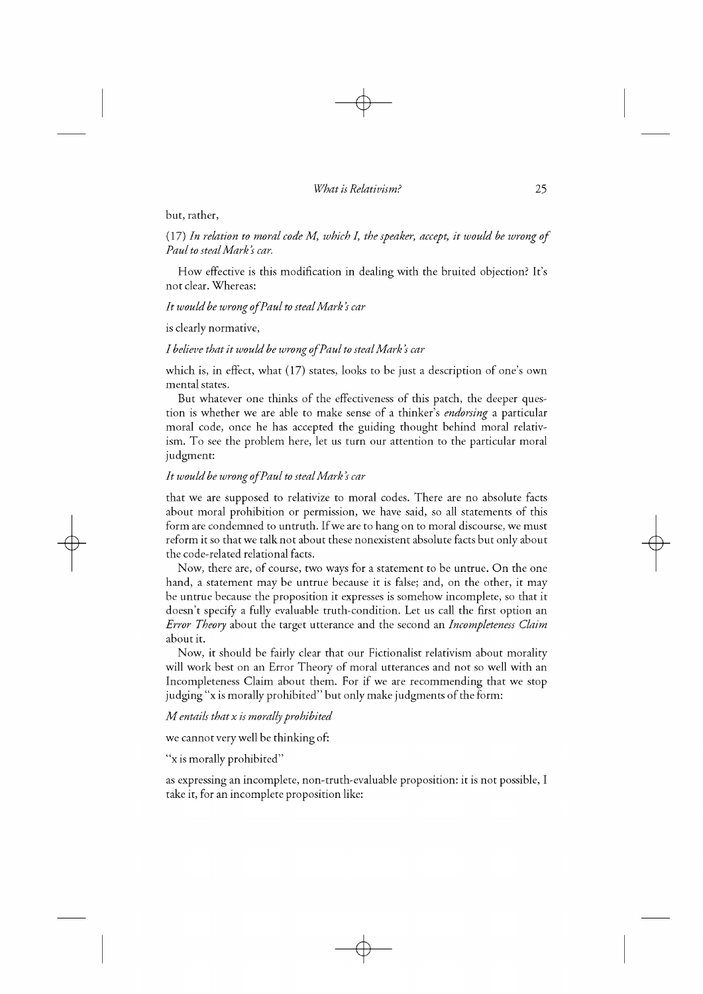but, rather,

(17) *In relation to moral code M, which I, the speaker, accept, it would be wrong of Paul to steal Mark's car.*

How effective is this modification in dealing with the bruited objection? It's not clear. Whereas:

*Itwould be wrong of Paul to steal Mark's car*

is clearly normative,

#### *I believe that it would be wrong of Paul to steal Mark's car*

which is, in effect, what (17) states, looks to be just a description of one's own mental states.

But whatever one thinks of the effectiveness of this patch, the deeper question is whether we are able to make sense of a thinker's *endorsing* a particular moral code, once he has accepted the guiding thought behind moral relativism. To see the problem here, let us turn our attention to the particular moral judgment:

#### *Itwould be wrong of Paul to steal Mark's car*

that we are supposed to relativize to moral codes. There are no absolute facts about moral prohibition or permission, we have said, so all statements of this form are condemned to untruth. If we are to hang on to moral discourse, we must reform it so that we talk not about these nonexistent absolute facts but only about the code-related relational facts.

Now, there are, of course, two ways for a statement to be untrue. On the one hand, a statement may be untrue because it is false; and, on the other, it may be untrue because the proposition it expresses is somehow incomplete, so that it doesn't specify a fully evaluable truth-condition. Let us call the first option an *Error Theory* about the target utterance and the second an *Incompleteness Claim* about it.

Now, it should be fairly clear that our Fictionalist relativism about morality will work best on an Error Theory of moral utterances and not so well with an Incompleteness Claim about them. For if we are recommending that we stop judging ''x is morally prohibited' ' but only make judgments of the form:

*M entailsthat x is morally prohibited*

we cannot very well be thinking of:

''x is morally prohibited''

as expressing an incomplete, non-truth-evaluable proposition: it is not possible, I take it, for an incomplete proposition like: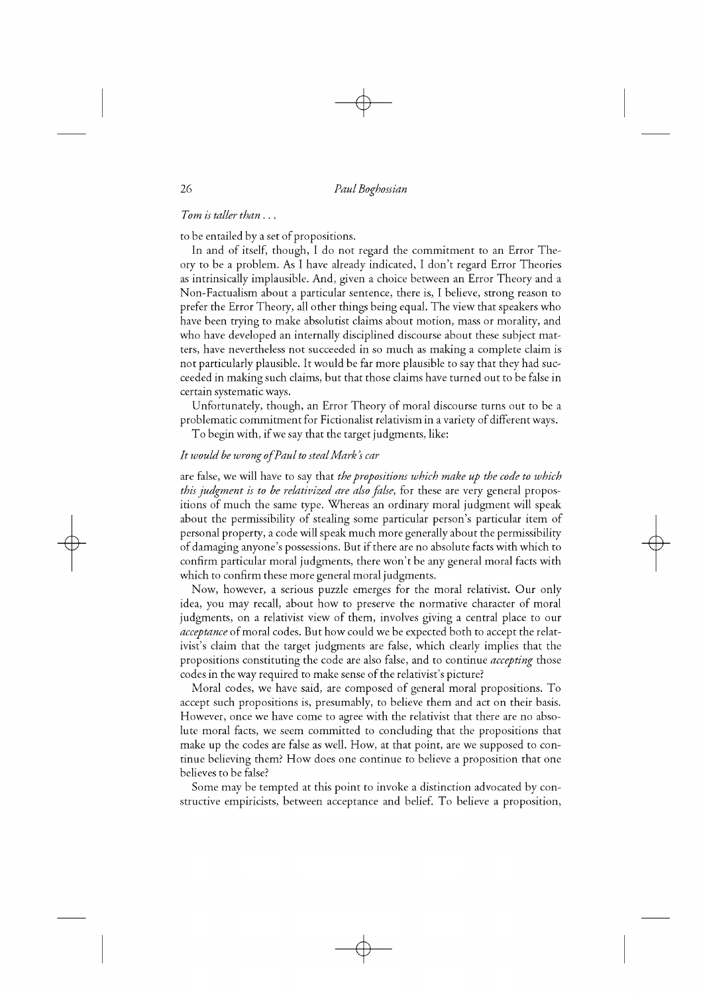# *Tom is tallerthan* ...

to be entailed by a set of propositions.

In and of itself, though, I do not regard the commitment to an Error Theory to be a problem. As I have already indicated, I don't regard Error Theories as intrinsically implausible. And, given a choice between an Error Theory and a Non-Factualism about a particular sentence, there is, I believe, strong reason to prefer the Error Theory, all other things being equal. The viewthat speakers who have been trying to make absolutist claims about motion, mass or morality, and who have developed an internally disciplined discourse about these subject matters, have nevertheless not succeeded in so much as making a complete claim is not particularly plausible. It would be far more plausible to say that they had succeeded in making such claims, but that those claims have turned out to be false in certain systematic ways.

Unfortunately, though, an Error Theory of moral discourse turns out to be a problematic commitment for Fictionalist relativism in a variety of different ways.

To begin with, if we say that the target judgments, like:

# *Itwould be wrong of Paul to steal Mark's car*

are false, we will have to say that *the propositions which make up the code to which this judgment is to be relativized are also false*, for these are very general propositions of much the same type. Whereas an ordinary moral judgment will speak about the permissibility of stealing some particular person's particular item of personal property, a code will speak much more generally about the permissibility of damaging anyone's possessions. But if there are no absolute facts with which to confirm particular moral judgments, there won't be any general moral facts with which to confirm these more general moral judgments.

Now, however, a serious puzzle emerges for the moral relativist. Our only idea, you may recall, about how to preserve the normative character of moral judgments, on a relativist view of them, involves giving a central place to our *acceptance* of moral codes. But howcould we be expected both to accept the relativist's claim that the target judgments are false, which clearly implies that the propositions constituting the code are also false, and to continue *accepting* those codesin the way required to make sense of the relativist's picture?

Moral codes, we have said, are composed of general moral propositions. To accept such propositions is, presumably, to believe them and act on their basis. However, once we have come to agree with the relativist that there are no absolute moral facts, we seem committed to concluding that the propositions that make up the codes are false as well. How, at that point, are we supposed to continue believing them? How does one continue to believe a proposition that one believes to be false?

Some may be tempted at this point to invoke a distinction advocated by constructive empiricists, between acceptance and belief. To believe a proposition,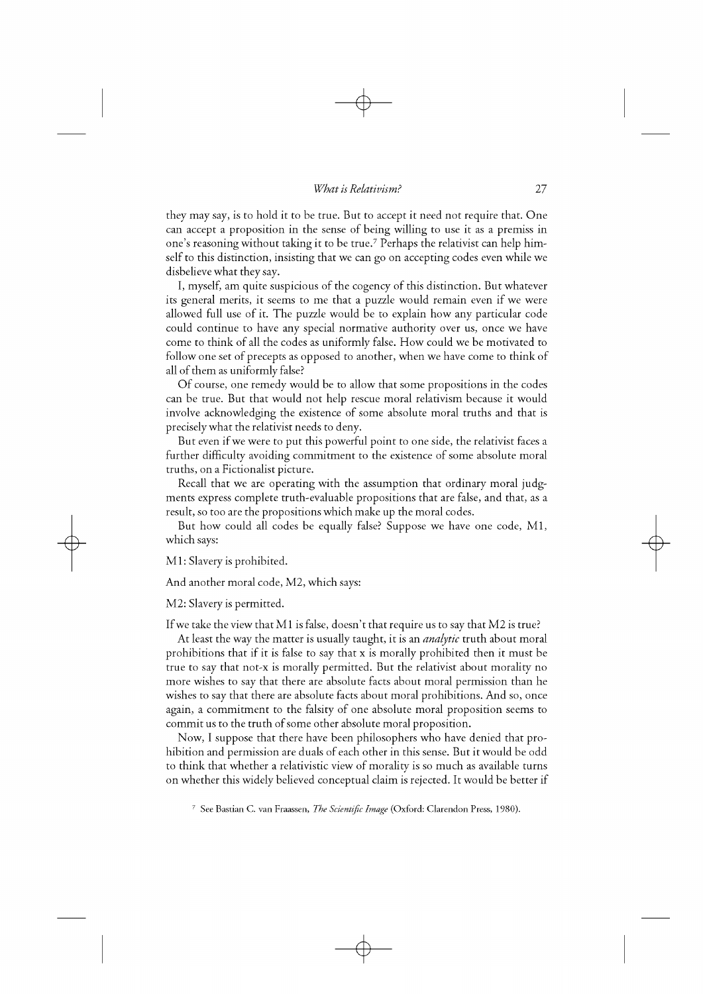they may say, is to hold it to be true. But to accept it need not require that. One can accept a proposition in the sense of being willing to use it as a premiss in one's reasoning without taking it to be true.<sup>7</sup> Perhaps the relativist can help himself to this distinction, insisting that we can go on accepting codes even while we disbelieve what theysay.

I, myself, am quite suspicious of the cogency of this distinction. But whatever its general merits, it seems to me that a puzzle would remain even if we were allowed full use of it. The puzzle would be to explain how any particular code could continue to have any special normative authority over us, once we have come to think of all the codes as uniformly false. How could we be motivated to follow one set of precepts as opposed to another, when we have come to think of all of them as uniformly false?

Of course, one remedy would be to allow that some propositions in the codes can be true. But that would not help rescue moral relativism because it would involve acknowledging the existence of some absolute moral truths and that is preciselywhat the relativist needs to deny.

But even if we were to put this powerful point to one side, the relativist faces a further difficulty avoiding commitment to the existence of some absolute moral truths, on a Fictionalist picture.

Recall that we are operating with the assumption that ordinary moral judgments express complete truth-evaluable propositions that are false, and that, as a result, so too are the propositions which make up the moral codes.

But how could all codes be equally false? Suppose we have one code, M1, which says:

M1: Slavery is prohibited.

And another moral code, M2, which says:

#### M2: Slavery is permitted.

If we take the view that M1 is false, doesn't that require us to say that M2 is true?

At least the way the matter is usually taught, it is an *analytic* truth about moral prohibitions that if it is false to say that x is morally prohibited then it must be true to say that not-x is morally permitted. But the relativist about morality no more wishes to say that there are absolute facts about moral permission than he wishes to say that there are absolute facts about moral prohibitions. And so, once again, a commitment to the falsity of one absolute moral proposition seems to commit us to the truth of some other absolute moral proposition.

Now, I suppose that there have been philosophers who have denied that prohibition and permission are duals of each other in this sense. But it would be odd to think that whether a relativistic view of morality is so much as available turns on whether this widely believed conceptual claim is rejected. It would be better if

<sup>7</sup> See Bastian C. van Fraassen, *The Scientific Image* (Oxford: Clarendon Press, 1980).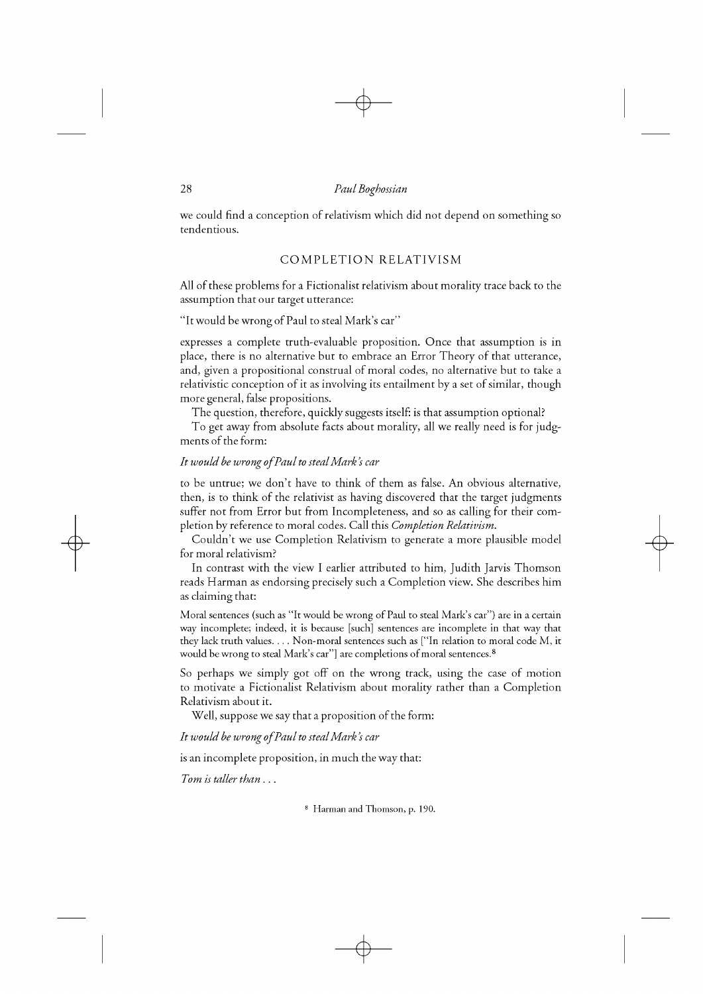we could find a conception of relativism which did not depend on something so tendentious.

### COMPLETION RELATIVISM

All of these problems for a Fictionalist relativism about morality trace back to the assumption that our target utterance:

''It would be wrong of Paul to steal Mark's car''

expresses a complete truth-evaluable proposition. Once that assumption is in place, there is no alternative but to embrace an Error Theory of that utterance, and, given a propositional construal of moral codes, no alternative but to take a relativistic conception of it as involving its entailment by a set of similar, though more general, false propositions.

The question, therefore, quickly suggests itself: is that assumption optional?

To get away from absolute facts about morality, all we really need is for judgments of the form:

## *Itwould be wrong of Paul to steal Mark's car*

to be untrue; we don't have to think of them as false. An obvious alternative, then, is to think of the relativist as having discovered that the target judgments suffer not from Error but from Incompleteness, and so as calling for their completion by reference tomoral codes.Call this*CompletionRelativism*.

Couldn't we use Completion Relativism to generate a more plausible model for moral relativism?

In contrast with the view I earlier attributed to him, Judith Jarvis Thomson reads Harman as endorsing precisely such a Completion view. She describes him as claiming that:

Moral sentences(such as ''It would be wrong of Paul to steal Mark's car'') are in a certain way incomplete; indeed, it is because [such] sentences are incomplete in that way that they lack truth values. . . . Non-moral sentences such as ["In relation to moral code M, it would be wrong to steal Mark's car"] are completions of moral sentences.<sup>8</sup>

So perhaps we simply got off on the wrong track, using the case of motion to motivate a Fictionalist Relativism about morality rather than a Completion Relativism about it.

Well, suppose we say that a proposition of the form:

*Itwould be wrong of Paul to steal Mark's car*

is an incomplete proposition, in much the way that:

*Tom is tallerthan* ..

<sup>8</sup> Harman and Thomson, p. 190.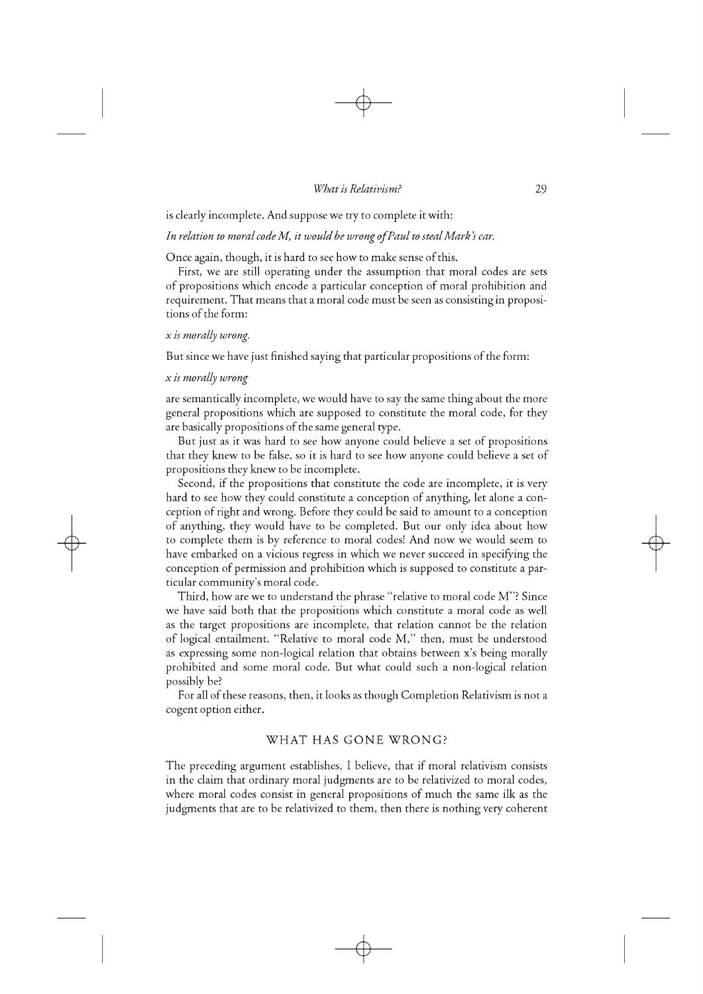is clearly incomplete. And suppose we try to complete it with:

#### *In relation to moral code M, it would be wrong of Paul to steal Mark's car.*

Once again, though, it is hard to see how to make sense of this.

First, we are still operating under the assumption that moral codes are sets of propositions which encode a particular conception of moral prohibition and requirement. That means that a moral code must be seen as consisting in propositions of the form:

#### *x is morallywrong.*

But since wehave just finished saying that particular propositions of the form:

#### *x is morallywrong*

are semantically incomplete, we would have to say the same thing about the more general propositions which are supposed to constitute the moral code, for they are basically propositions of the same general type.

But just as it was hard to see how anyone could believe a set of propositions that they knew to be false, so it is hard to see how anyone could believe a set of propositions they knew to be incomplete.

Second, if the propositions that constitute the code are incomplete, it is very hard to see how they could constitute a conception of anything, let alone a conception of right and wrong. Before they could be said to amount to a conception of anything, they would have to be completed. But our only idea about how to complete them is by reference to moral codes! And now we would seem to have embarked on a vicious regress in which we never succeed in specifying the conception of permission and prohibition which is supposed to constitute a particular community's moral code.

Third, how are we to understand the phrase ''relative to moral code M''? Since we have said both that the propositions which constitute a moral code as well as the target propositions are incomplete, that relation cannot be the relation of logical entailment. ''Relative to moral code M,'' then, must be understood as expressing some non-logical relation that obtains between x's being morally prohibited and some moral code. But what could such a non-logical relation possibly be?

For all of these reasons, then, it looks as though Completion Relativism is not a cogent option either.

#### WHAT HAS GONE WRONG?

The preceding argument establishes, I believe, that if moral relativism consists in the claim that ordinary moral judgments are to be relativized to moral codes, where moral codes consist in general propositions of much the same ilk as the judgments that are to be relativized to them, then there is nothing very coherent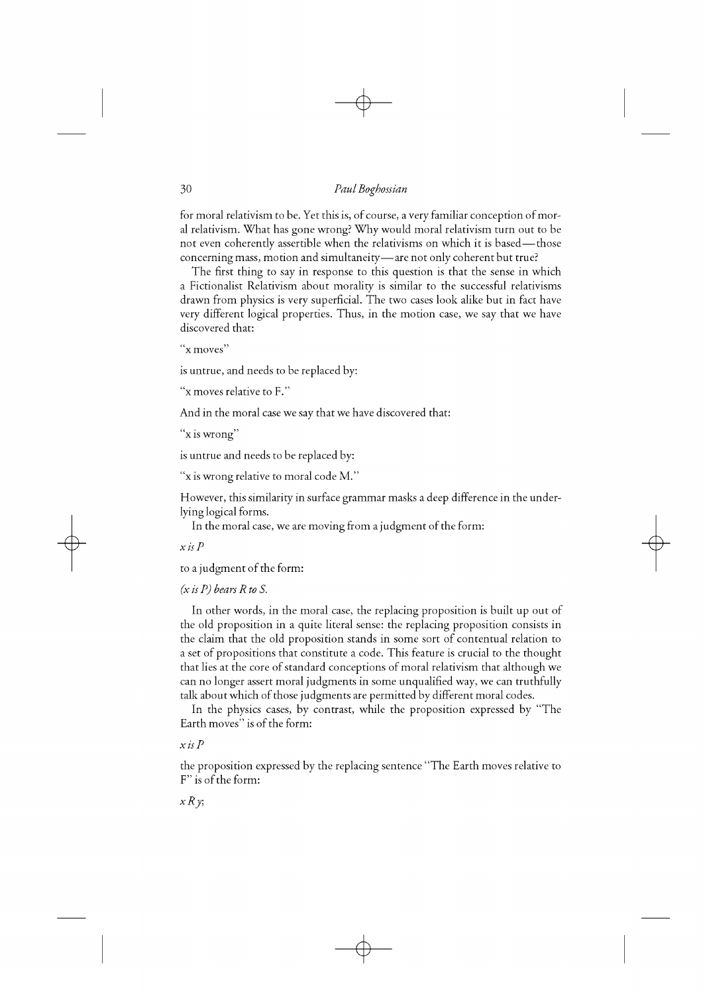for moral relativism to be. Yet this is, of course, a very familiar conception of moral relativism. What has gone wrong? Why would moral relativism turn out to be not even coherently assertible when the relativisms on which it is based—those concerningmass, motion and simultaneity—are not only coherent but true?

The first thing to say in response to this question is that the sense in which a Fictionalist Relativism about morality is similar to the successful relativisms drawn from physics is very superficial. The two cases look alike but in fact have very different logical properties. Thus, in the motion case, we say that we have discovered that:

''x moves''

is untrue, and needs to be replaced by:

''x moves relative to F.''

And in the moral case we say that we have discovered that:

"x is wrong"

is untrue and needs to be replaced by:

''x is wrong relative to moral code M.''

However, this similarity in surface grammar masks a deep difference in the underlying logical forms.

In the moral case, we are moving from a judgment of the form:

*xisP*

to a judgment of the form:

#### *(x is P) bears R to S.*

In other words, in the moral case, the replacing proposition is built up out of the old proposition in a quite literal sense: the replacing proposition consists in the claim that the old proposition stands in some sort of contentual relation to a set of propositions that constitute a code. This feature is crucial to the thought that lies at the core of standard conceptions of moral relativism that although we can no longer assert moral judgments in some unqualified way, we can truthfully talk about which of those judgments are permitted by different moral codes.

In the physics cases, by contrast, while the proposition expressed by ''The Earth moves'' is of the form:

*xisP*

the proposition expressed by the replacing sentence ''The Earth moves relative to F'' is of the form:

*xRy*;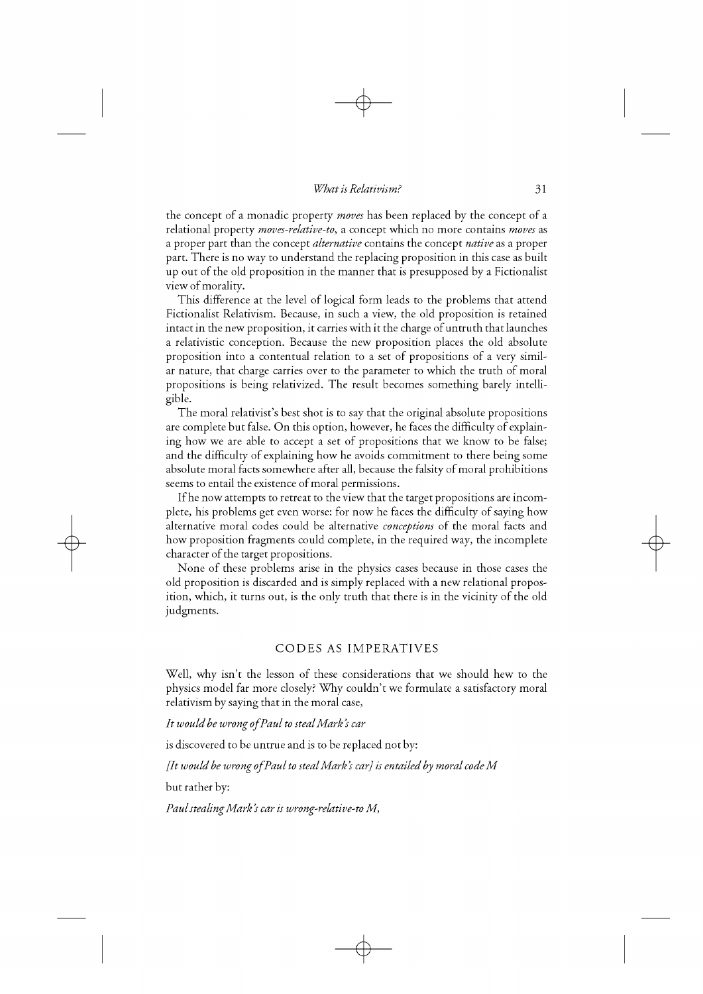the concept of a monadic property *moves* has been replaced by the concept of a relational property *moves-relative-to*, a concept which no more contains *moves* as a proper part than the concept *alternative* containsthe concept *native* as a proper part. There is no way to understand the replacing proposition in this case as built up out of the old proposition in the manner that is presupposed by a Fictionalist view of morality.

This difference at the level of logical form leads to the problems that attend Fictionalist Relativism. Because, in such a view, the old proposition is retained intact in the new proposition, it carries with it the charge of untruth that launches a relativistic conception. Because the new proposition places the old absolute proposition into a contentual relation to a set of propositions of a very similar nature, that charge carries over to the parameter to which the truth of moral propositions is being relativized. The result becomes something barely intelligible.

The moral relativist's best shot is to say that the original absolute propositions are complete but false. On this option, however, he faces the difficulty of explaining how we are able to accept a set of propositions that we know to be false; and the difficulty of explaining how he avoids commitment to there being some absolute moral facts somewhere after all, because the falsity of moral prohibitions seems to entail the existence of moral permissions.

If he now attempts to retreat to the view that the target propositions are incomplete, his problems get even worse: for now he faces the difficulty of saying how alternative moral codes could be alternative *conceptions* of the moral facts and how proposition fragments could complete, in the required way, the incomplete character of the target propositions.

None of these problems arise in the physics cases because in those cases the old proposition is discarded and is simply replaced with a new relational proposition, which, it turns out, is the only truth that there is in the vicinity of the old judgments.

#### CODES AS IMPERATIVES

Well, why isn't the lesson of these considerations that we should hew to the physics model far more closely? Why couldn't we formulate a satisfactory moral relativism by saying that in the moral case,

*Itwould be wrong of Paul to steal Mark's car*

is discovered to be untrue and is to be replaced not by:

*[It would be wrong of Paul to steal Mark's car] is entailed by moral code M*

but rather by:

*Paulstealing Mark's caris wrong-relative-toM*,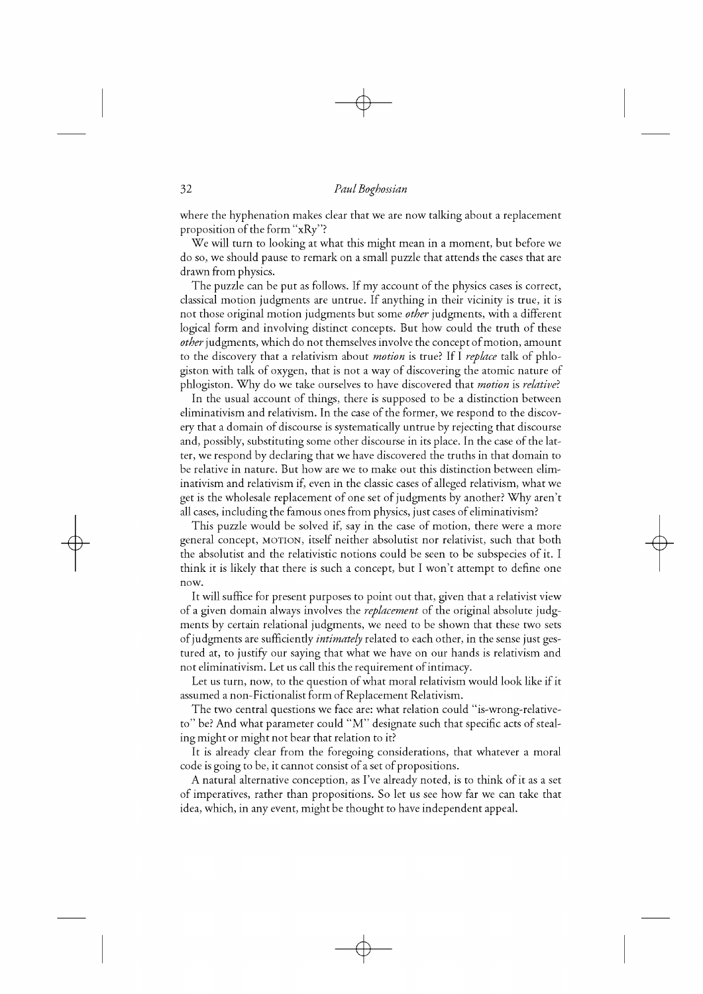where the hyphenation makes clear that we are now talking about a replacement proposition of the form "xRy"?

We will turn to looking at what this might mean in a moment, but before we do so, we should pause to remark on a small puzzle that attends the cases that are drawn from physics.

The puzzle can be put as follows. If my account of the physics cases is correct, classical motion judgments are untrue. If anything in their vicinity is true, it is not those original motion judgments but some *other* judgments, with a different logical form and involving distinct concepts. But how could the truth of these *other* judgments, which do not themselves involve the concept of motion, amount to the discovery that a relativism about *motion* is true? If I *replace* talk of phlogiston with talk of oxygen, that is not a way of discovering the atomic nature of phlogiston. Why do we take ourselves to have discovered that *motion* is *relative*?

In the usual account of things, there is supposed to be a distinction between eliminativismand relativism. In the case of the former, we respond to the discovery that a domain of discourse is systematically untrue by rejecting that discourse and, possibly, substituting some other discourse in its place. In the case of the latter, we respond by declaring that we have discovered the truthsin that domain to be relative in nature. But how are we to make out this distinction between eliminativism and relativism if, even in the classic cases of alleged relativism, what we get is the wholesale replacement of one set of judgments by another? Why aren't all cases, including the famous ones from physics, just cases of eliminativism?

This puzzle would be solved if, say in the case of motion, there were a more general concept, motion, itself neither absolutist nor relativist, such that both the absolutist and the relativistic notions could be seen to be subspecies of it. I think it is likely that there is such a concept, but I won't attempt to define one now.

It will suffice for present purposes to point out that, given that a relativist view of a given domain always involves the *replacement* of the original absolute judgments by certain relational judgments, we need to be shown that these two sets of judgments are sufficiently *intimately* related to each other, in the sense just gestured at, to justify our saying that what we have on our hands is relativism and not eliminativism. Let us call this the requirement of intimacy.

Let us turn, now, to the question of what moral relativism would look like if it assumed a non-Fictionalist form of Replacement Relativism.

The two central questions we face are: what relation could ''is-wrong-relativeto" be? And what parameter could "M" designate such that specific acts of stealing might or might not bear that relation to it?

It is already clear from the foregoing considerations, that whatever a moral code is going to be, it cannot consist of a set of propositions.

A natural alternative conception, as I've already noted, is to think of it as a set of imperatives, rather than propositions. So let us see how far we can take that idea, which, in any event, might be thought to have independent appeal.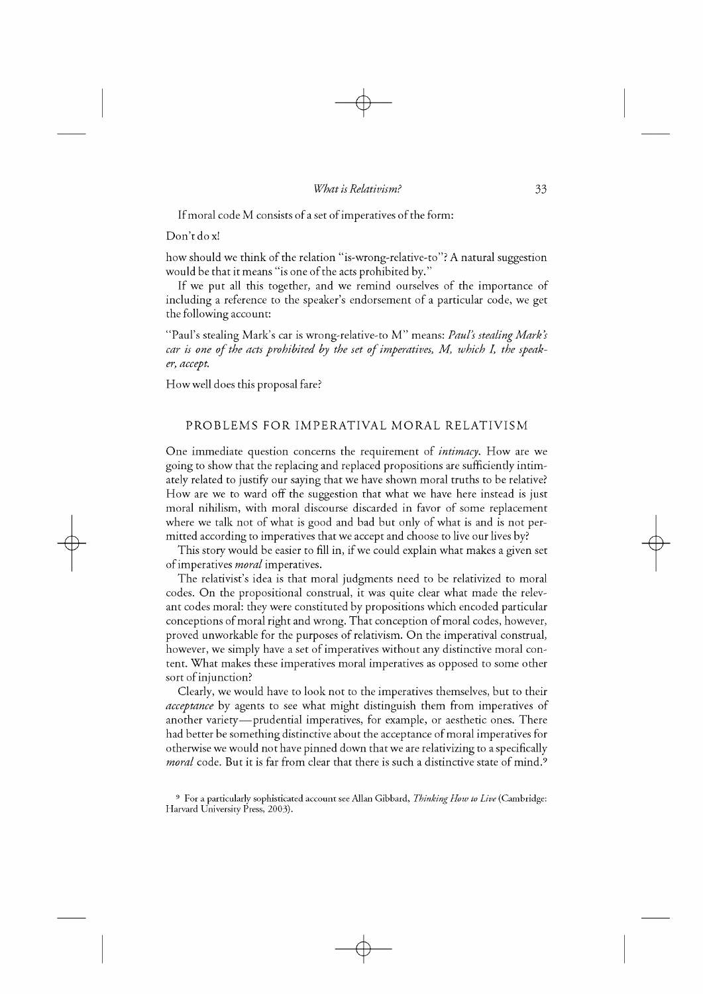If moral code M consists of a set of imperatives of the form:

Don't do x!

how should we think of the relation "is-wrong-relative-to"? A natural suggestion would be that it means "is one of the acts prohibited by."

If we put all this together, and we remind ourselves of the importance of including a reference to the speaker's endorsement of a particular code, we get the following account:

''Paul's stealing Mark's car is wrong-relative-to M'' means: *Paul's stealing Mark's car is one of the acts prohibited by the set of imperatives, M, which I, the speaker, accept.*

How well does this proposal fare?

# PROBLEMS FOR IMPERATIVAL MORAL RELATIVISM

One immediate question concerns the requirement of *intimacy*. How are we going to show that the replacing and replaced propositions are sufficiently intimately related to justify our saying that we have shown moral truths to be relative? How are we to ward off the suggestion that what we have here instead is just moral nihilism, with moral discourse discarded in favor of some replacement where we talk not of what is good and bad but only of what is and is not permitted according to imperatives that we accept and choose to live our lives by?

This story would be easier to fill in, if we could explain what makes a given set ofimperatives*moral* imperatives.

The relativist's idea is that moral judgments need to be relativized to moral codes. On the propositional construal, it was quite clear what made the relevant codes moral: they were constituted by propositions which encoded particular conceptions of moral right and wrong. That conception of moral codes, however, proved unworkable for the purposes of relativism. On the imperatival construal, however, we simply have a set of imperatives without any distinctive moral content. What makes these imperatives moral imperatives as opposed to some other sort of injunction?

Clearly, we would have to look not to the imperatives themselves, but to their *acceptance* by agents to see what might distinguish them from imperatives of another variety—prudential imperatives, for example, or aesthetic ones. There had better be something distinctive about the acceptance of moral imperatives for otherwisewe would not have pinned down that we are relativizing to a specifically *moral* code. But it is far from clear that there is such a distinctive state of mind.<sup>9</sup>

9 For a particularly sophisticated accountsee Allan Gibbard, *Thinking How to Live* (Cambridge: Harvard University Press, 2003).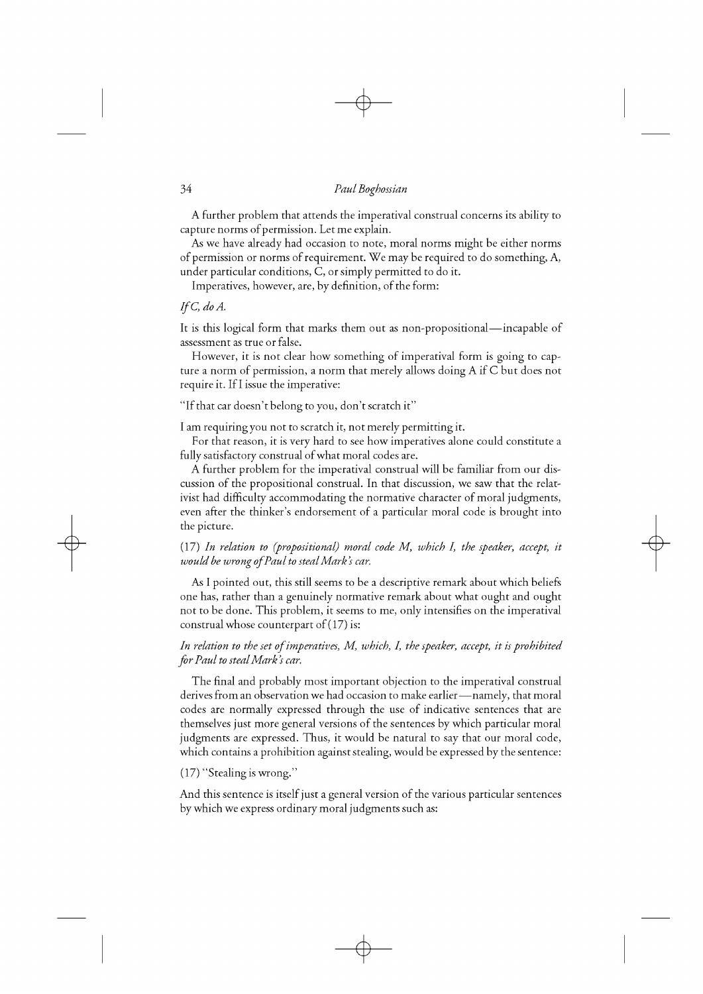A further problem that attends the imperatival construal concerns its ability to capture norms of permission.Letme explain.

As we have already had occasion to note, moral norms might be either norms of permission or norms of requirement.We may be required to do something, A, under particular conditions, C, or simply permitted to do it.

Imperatives, however, are, by definition, of the form:

#### *IfC,doA.*

It is this logical form that marks them out as non-propositional—incapable of assessment as true or false.

However, it is not clear how something of imperatival form is going to capture a norm of permission, a norm that merely allows doing A if C but does not require it.If I issue the imperative:

#### "If that car doesn't belong to you, don't scratch it"

I am requiring you not to scratch it, notmerely permitting it.

For that reason, it is very hard to see how imperatives alone could constitute a fully satisfactory construal of what moral codes are.

A further problem for the imperatival construal will be familiar from our discussion of the propositional construal. In that discussion, we saw that the relativist had difficulty accommodating the normative character of moral judgments, even after the thinker's endorsement of a particular moral code is brought into the picture.

(17) *In relation to (propositional) moral code M, which I, the speaker, accept, it would be wrong of Paul to steal Mark's car.*

As I pointed out, this still seems to be a descriptive remark about which beliefs one has, rather than a genuinely normative remark about what ought and ought not to be done. This problem, it seems to me, only intensifies on the imperatival construal whose counterpart of  $(17)$  is:

# *In relation to the set of imperatives, M, which, I, the speaker, accept, it is prohibited for Paul to steal Mark's car.*

The final and probably most important objection to the imperatival construal derives from an observation we had occasion to make earlier—namely, that moral codes are normally expressed through the use of indicative sentences that are themselves just more general versions of the sentences by which particular moral judgments are expressed. Thus, it would be natural to say that our moral code, which contains a prohibition against stealing, would be expressed by the sentence:

### (17)''Stealing is wrong.''

And this sentence is itself just a general version of the various particular sentences by which we express ordinary moral judgments such as: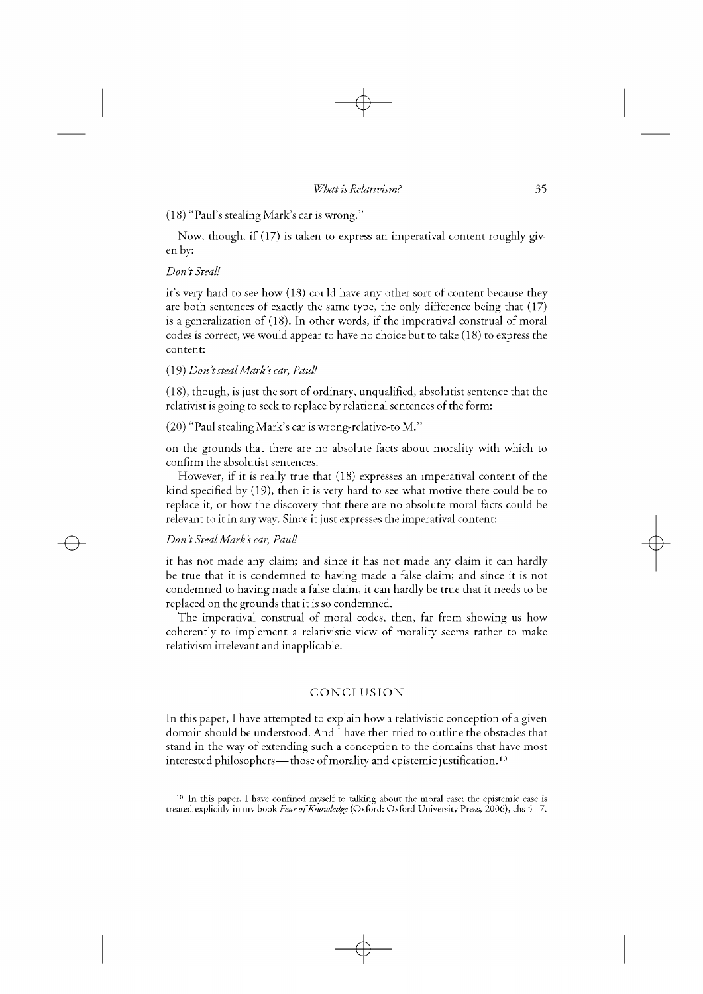# (18)''Paul's stealingMark's car is wrong.''

Now, though, if (17) is taken to express an imperatival content roughly given by:

# *Don't Steal!*

it's very hard to see how (18) could have any other sort of content because they are both sentences of exactly the same type, the only difference being that (17) is a generalization of (18). In other words, if the imperatival construal of moral codes is correct, we wouldappear to have no choice butto take (18) to express the content:

#### (19) *Don'tsteal Mark's car, Paul!*

 $(18)$ , though, is just the sort of ordinary, unqualified, absolutist sentence that the relativist is going to seek to replace by relational sentences of the form:

#### (20) ''Paul stealingMark's car is wrong-relative-toM.''

on the grounds that there are no absolute facts about morality with which to confirm the absolutist sentences.

However, if it is really true that (18) expresses an imperatival content of the kind specified by (19), then it is very hard to see what motive there could be to replace it, or how the discovery that there are no absolute moral facts could be relevant to it in any way. Since it just expresses the imperatival content:

#### *Don't Steal Mark's car, Paul!*

it has not made any claim; and since it has not made any claim it can hardly be true that it is condemned to having made a false claim; and since it is not condemned to having made a false claim, it can hardly be true that it needs to be replaced on the grounds that it is so condemned.

The imperatival construal of moral codes, then, far from showing us how coherently to implement a relativistic view of morality seems rather to make relativism irrelevant and inapplicable.

#### CONCLUSION

In this paper, I have attempted to explain how a relativistic conception of a given domain should be understood. And I have then tried to outline the obstacles that stand in the way of extending such a conception to the domains that have most interested philosophers—those of morality and epistemic justification.<sup>10</sup>

<sup>10</sup> In this paper, I have confined myself to talking about the moral case; the epistemic case is treated explicitly in my book *Fear ofKnowledge* (Oxford: Oxford University Press, 2006), chs 5—7.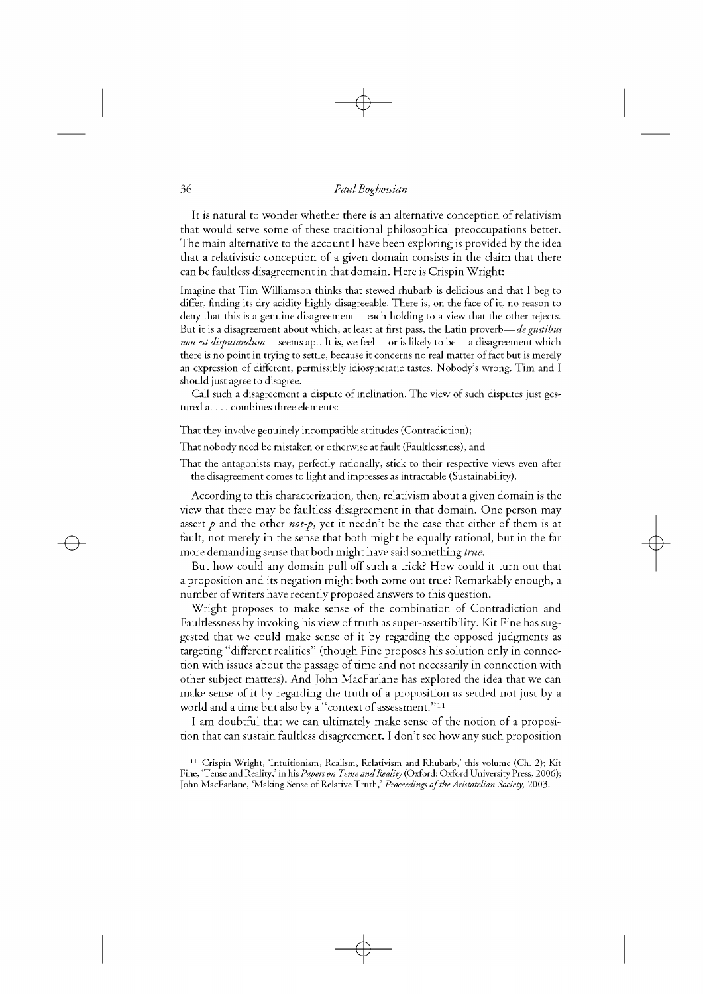It is natural to wonder whether there is an alternative conception of relativism that would serve some of these traditional philosophical preoccupations better. The main alternative to the account I have been exploring is provided by the idea that a relativistic conception of a given domain consists in the claim that there can be faultless disagreement in that domain. Here is Crispin Wright:

Imagine that Tim Williamson thinks that stewed rhubarb is delicious and that I beg to differ, finding its dry acidity highly disagreeable. There is, on the face of it, no reason to deny that this is a genuine disagreement—each holding to a view that the other rejects. But it is a disagreement about which, at least at first pass, the Latin proverb—*de gustibus non est disputandum*—seems apt. It is, we feel—or is likely to be—a disagreement which there is no point in trying to settle, because it concerns no real matter of fact but is merely an expression of different, permissibly idiosyncratic tastes. Nobody's wrong. Tim and I should just agree to disagree.

Call such a disagreement a dispute of inclination. The view of such disputes just gestured at . . . combines three elements:

That they involve genuinely incompatible attitudes(Contradiction);

That nobody need be mistaken or otherwise at fault (Faultlessness), and

That the antagonists may, perfectly rationally, stick to their respective views even after the disagreement comes to light and impresses as intractable (Sustainability).

According to this characterization, then, relativism about a given domain is the view that there may be faultless disagreement in that domain. One person may assert *p* and the other *not-p*, yet it needn't be the case that either of them is at fault, not merely in the sense that both might be equally rational, but in the far more demanding sense that both might have said something *true*.

But how could any domain pull off such a trick? How could it turn out that a proposition and its negation might both come out true? Remarkably enough, a number of writers have recently proposed answers to this question.

Wright proposes to make sense of the combination of Contradiction and Faultlessness by invoking his view of truth as super-assertibility. Kit Fine has suggested that we could make sense of it by regarding the opposed judgments as targeting ''different realities'' (though Fine proposes his solution only in connection with issues about the passage of time and not necessarily in connection with other subject matters). And John MacFarlane has explored the idea that we can make sense of it by regarding the truth of a proposition as settled not just by a world and a time but also by a "context of assessment."<sup>11</sup>

I am doubtful that we can ultimately make sense of the notion of a proposition that can sustain faultless disagreement. I don't see how any such proposition

<sup>11</sup> Crispin Wright, 'Intuitionism, Realism, Relativism and Rhubarb,' this volume (Ch. 2); Kit Fine, 'Tense and Reality,' in his *Papers on Tense and Reality* (Oxford: Oxford University Press, 2006); John MacFarlane, 'Making Sense of Relative Truth,' *Proceedings of the Aristotelian Society,* 2003.